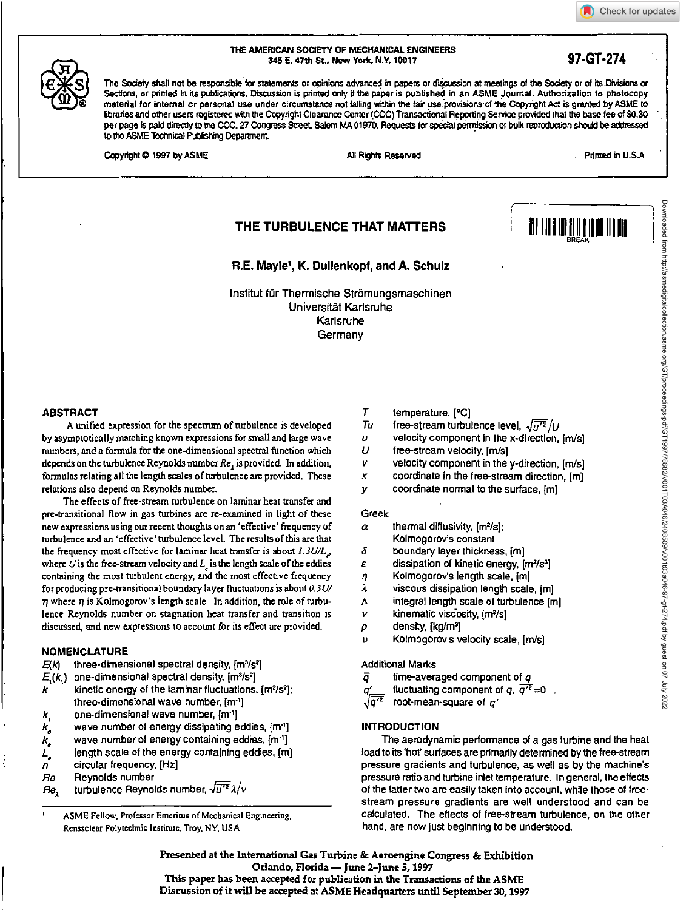## Check for updates



THE AMERICAN SOCIETY OF MECHANICAL ENGINEERS 345 E. 47th St., New York, N.Y. 10017 **97-GT-274** 

The Society shall not be responsible for statements or opinions advanced in papers or dicussion at meetings of the Society or of its Divisions or Sections, or printed in its publications. Discussion is printed only if the paper is published in an ASME Journal. Authorization to photocopy material for internal or personal use under circumstance not falling within the fair use provisions of the Copyright Act is granted by ASME to libraries and other users registered with the Copyright Clearance Center (CCC) Transactional Reporting Service provided that the base fee of \$0.30 per page is paid directly to the CCC, 27 Congress Street Salem MA 01970. Requests for special permission or bulk reproduction should be addressed to the ASME Technical Publishing Department.

Copyright © 1997 by ASME All Rights Reserved . Printed in U.S.A

Downloaded from http://asmedigitalcollection.asme.org/GT/proceedings-pdf/GT1997/78682/V001T03A046/2408509/v001t03a046-97-gt-274.pdf by guest on 07 July 2022

# **THE TURBULENCE THAT MATTERS**

**R.E. Mayle', K. Dullenkopf, and A. Schulz** 

Institut fur Therrnische Stromungsmaschinen Universitat Karlsruhe Karlsruhe **Germany** 

#### **ABSTRACT**

A unified expression for the spectrum of turbulence is developed by asymptotically matching known expressions for small and large wave numbers, and a formula for the one-dimensional spectral function which depends on the turbulence Reynolds number  $Re<sub>1</sub>$  is provided. In addition, formulas relating all the length scales of turbulence are provided. These relations also depend on Reynolds number.

The effects of free-stream turbulence on laminar heat transfer and pre-transitional flow in gas turbines are re-examined in light of these new expressions using our recent thoughts on an 'effective' frequency of turbulence and an 'effective' turbulence level. The results of this are that the frequency most effective for laminar heat transfer is about  $1.3$ U/L<sub>.</sub>, where  $U$  is the free-stream velocity and  $L_1$  is the length scale of the eddies containing the most turbulent energy, and the most effective frequency for producing pre-transitional boundary layer fluctuations is about *0.3U/*   $\eta$  where  $\eta$  is Kolmogorov's length scale. In addition, the role of turbulence Reynolds number on stagnation heat transfer and transition is discussed, and new expressions to account for its effect are provided.

#### **NOMENCLATURE**

- $E(k)$  three-dimensional spectral density,  $[m^3/s^2]$
- $E_i(k_i)$  one-dimensional spectral density,  $[m^3/s^2]$
- kinetic energy of the laminar fluctuations,  $[m<sup>2</sup>/s<sup>2</sup>]$ ; k three-dimensional wave number, [m<sup>-1</sup>]
- $k,$  one-dimensional wave number,  $[m^1]$ <br> $k,$  wave number of energy dissipating e
- wave number of energy dissipating eddies,  $[m<sup>1</sup>]$
- $k_{\bullet}$  wave number of energy containing eddies,  $[m^{\text{-}1}]$
- $L_{\bullet}$  length scale of the energy containing eddies, [m]
- $n$  circular frequency,  $[Hz]$ Reynolds number
- $Re_{\lambda}$  turbulence Reynolds number,  $\sqrt{u'^2} \lambda / v$

ASME Fellow, Professor Emeritus of Mechanical Engineering, Renssclear Polytechnic Institute, Troy, NY, USA

- $\overline{I}$ temperature, [°C]
- Tu free-stream turbulence level,  $\sqrt{\overline{u'^2}}$  /U<br>u velocity component in the x-direction.
- $[11] \begin{array}{|c|c|c|} \hline \textbf{1} & \textbf{1} & \textbf{1} & \textbf{1} & \textbf{1} & \textbf{1} & \textbf{1} & \textbf{1} & \textbf{1} & \textbf{1} & \textbf{1} & \textbf{1} & \textbf{1} & \textbf{1} & \textbf{1} & \textbf{1} & \textbf{1} & \textbf{1} & \textbf{1} & \textbf{1} & \textbf{1} & \textbf{1} & \textbf{1} & \textbf{1} & \textbf{1} & \textbf{1} & \textbf{1} & \textbf{1} & \textbf{$ velocity component in the x-direction, [m/s]
- U free-stream velocity, [m/s]
- V velocity component in the y-direction, [m/s]
- $\boldsymbol{x}$ coordinate in the free-stream direction, [m]
- coordinate normal to the surface, [m] y

#### Greek

- $\alpha$  thermal diffusivity, [m<sup>2</sup>/s]; Kolmogorov's constant
- δ boundary layer thickness, [m]
- $\epsilon$  dissipation of kinetic energy,  $[m^2/s^3]$
- **ij** Kolmogorov's length scale, [m]
- $\lambda$  viscous dissipation length scale,  $[m]$
- A integral length scale of turbulence [m]
- $v$  kinematic viscosity,  $[m<sup>2</sup>/s]$
- $\rho$  density, [kg/m<sup>3</sup>]
- Kolmogorov's velocity scale, [m/s]

Additional Marks

ō time-averaged component of  $q$ 

fluctuating component of q,  $\overline{q'^2} = 0$ . a

root-mean-square of  $q'$ 

## **INTRODUCTION**

The aerodynamic performance of a gas turbine and the heat load to its 'hot' surfaces are primarily determined by the free-stream pressure gradients and turbulence, as well as by the machine's pressure ratio and turbine inlet temperature. In general, the effects of the latter two are easily taken into account, while those of freestream pressure gradients are well understood and can be calculated. The effects of free-stream turbulence, on the other hand, are now just beginning to be understood.

**Presented at the International Gas Turbine & Aeroengthe Congress & Exhibition Orlando, Florida — June 2–June 5, 1997 This paper has been accepted for publication in the Transactions of the ASME** 

**Discussion of it will be accepted at ASME Headquarters until September 30, 1997**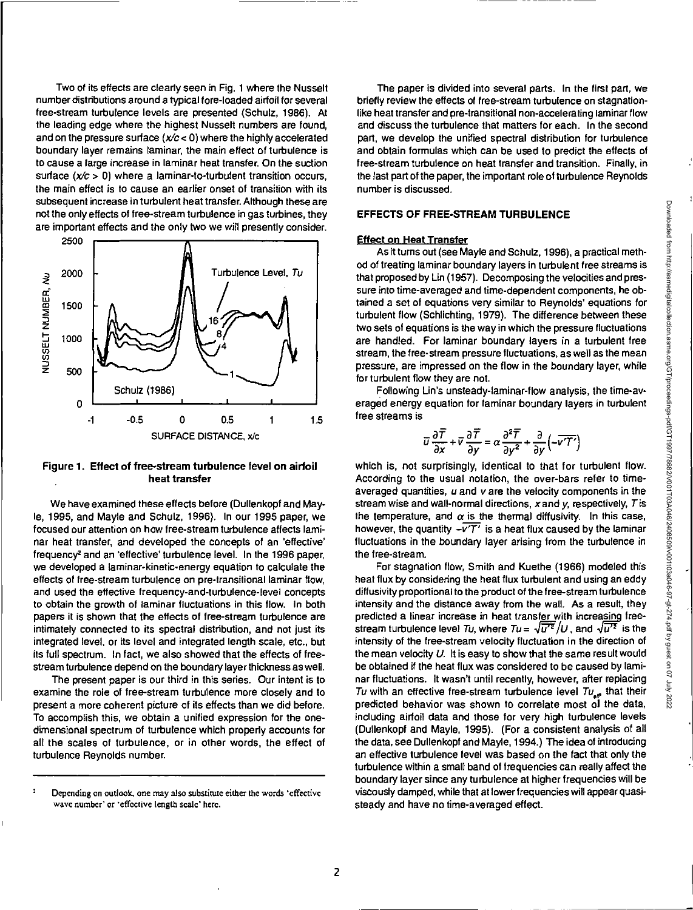Two of its effects are clearly seen in Fig. 1 where the Nusselt number distributions around a typical fore-loaded airfoil for several free-stream turbulence levels are presented (Schulz, 1986). At the leading edge where the highest Nusselt numbers are found, and on the pressure surface  $(x/c < 0)$  where the highly accelerated boundary layer remains laminar, the main effect of turbulence is to cause a large increase in laminar heat transfer. On the suction surface  $(x/c > 0)$  where a laminar-to-turbulent transition occurs, the main effect is to cause an earlier onset of transition with its subsequent increase in turbulent heat transfer. Although these are not the only effects of free-stream turbulence in gas turbines, they are important effects and the only two we will presently consider.



#### **Figure 1. Effect of free-stream turbulence level on airfoil heat transfer**

We have examined these effects before (Dullenkopf and Mayle, 1995, and Mayle and Schulz, 1996). In our 1995 paper, we focused our attention on how free-stream turbulence affects laminar heat transfer, and developed the concepts of an 'effective' frequency<sup>2</sup> and an 'effective' turbulence level. In the 1996 paper, we developed a laminar-kinetic-energy equation to calculate the effects of free-stream turbulence on pre-transitional laminar flow, and used the effective frequency-and-turbulence-level concepts to obtain the growth of laminar fluctuations in this flow. In both papers it is shown that the effects of free-stream turbulence are intimately connected to its spectral distribution, and not just its integrated level, or its level and integrated length scale, etc., but its full spectrum. In fact, we also showed that the effects of freestream turbulence depend on the boundary layer thickness as well.

The present paper is our third in this series. Our intent is to examine the role of free-stream turbulence more closely and to present a more coherent picture of its effects than we did before. To accomplish this, we obtain a unified expression for the onedimensional spectrum of turbulence which properly accounts for all the scales of turbulence, or in other words, the effect of turbulence Reynolds number.

The paper is divided into several parts. In the first part, we briefly review the effects of free-stream turbulence on stagnationlike heat transfer and pre-transitional non-accelerating laminar flow and discuss the turbulence that matters for each. In the second part, we develop the unified spectral distribution for turbulence and obtain formulas which can be used to predict the effects of free-stream turbulence on heat transfer and transition. Finally, in the last part of the paper, the important role of turbulence Reynolds number is discussed.

## **EFFECTS OF FREE-STREAM TURBULENCE**

## **Effect on Heat Transfer**

As it turns out (see Mayle and Schulz, 1996), a practical method of treating laminar boundary layers in turbulent free streams is that proposed by Lin (1957). Decomposing the velocities and pressure into time-averaged and time-dependent components, he obtained a set of equations very similar to Reynolds' equations for turbulent flow (Schlichting, 1979). The difference between these two sets of equations is the way in which the pressure fluctuations are handled. For laminar boundary layers in a turbulent free stream, the free-stream pressure fluctuations, as well as the mean pressure, are impressed on the flow in the boundary layer, while for turbulent flow they are not.

Following Lin's unsteady-laminar-flow analysis, the time-averaged energy equation for laminar boundary layers in turbulent free streams is

$$
\overline{u}\frac{\partial \overline{T}}{\partial x} + \overline{v}\frac{\partial \overline{T}}{\partial y} = \alpha \frac{\partial^2 \overline{T}}{\partial y^2} + \frac{\partial}{\partial y} \left( -\overline{v}\overline{T'} \right)
$$

which is, not surprisingly, identical to that for turbulent flow. According to the usual notation, the over-bars refer to timeaveraged quantities,  $u$  and  $v$  are the velocity components in the stream wise and wall-normal directions,  $x$  and  $y$ , respectively,  $T$  is the temperature, and  $\alpha$  is the thermal diffusivity. In this case, however, the quantity  $-\overline{v^{\prime}T^{\prime}}$  is a heat flux caused by the laminar fluctuations in the boundary layer arising from the turbulence in the free-stream.

For stagnation flow, Smith and Kuethe (1966) modeled this heat flux by considering the heat flux turbulent and using an eddy diffusivity proportional to the product of the free-stream turbulence intensity and the distance away from the wall. As a result, they predicted a linear increase in heat transfer with increasing freestream turbulence level Tu, where  $Tu = \sqrt{u'^2}/U$ , and  $\sqrt{u'^2}$  is the intensity of the free-stream velocity fluctuation in the direction of the mean velocity U. It is easy to show that the same result would be obtained if the heat flux was considered to be caused by laminar fluctuations. It wasn't until recently, however, after replacing Tu with an effective free-stream turbulence level  $Tu_{\mu m}$  that their predicted behavior was shown to correlate most of the data, including airfoil data and those for very high turbulence levels (Dullenkopf and Mayle, 1995). (For a consistent analysis of all the data, see Dullenkopf and Mayle, 1994.) The idea of introducing an effective turbulence level was based on the fact that only the turbulence within a small band of frequencies can really affect the boundary layer since any turbulence at higher frequencies will be viscously damped, while that at lower frequencies will appear quasisteady and have no time-averaged effect.

<sup>&</sup>lt;sup>2</sup> Depending on outlook, one may also substitute either the words 'effective wave number' or 'effective length scale' here.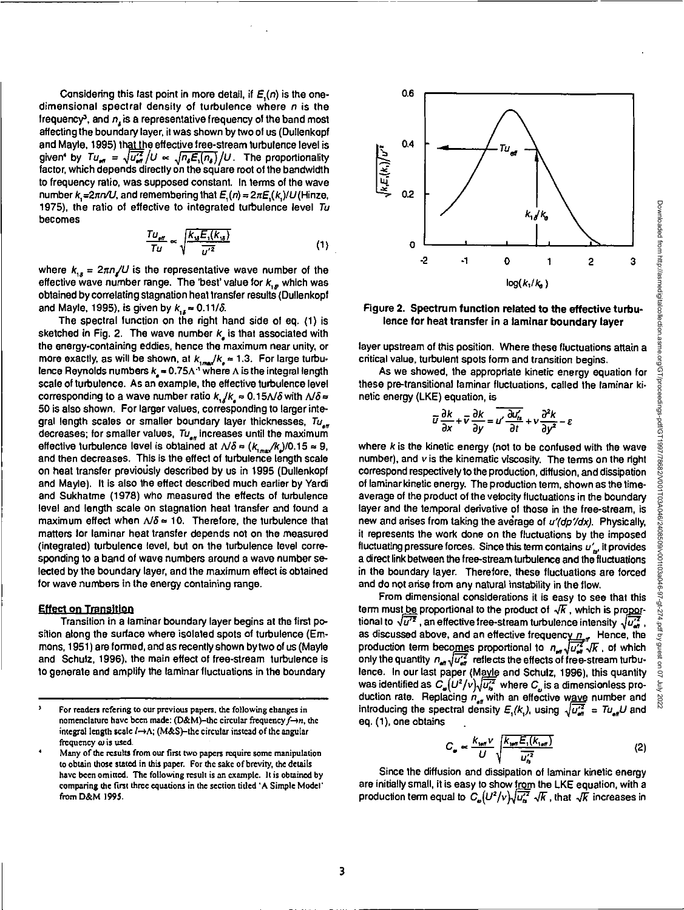Downloaded from http://asmedigitalcollection.asme.org/GT/proceedings-pdf/GT1987/768802/V010T034049/2408509/V0103a040-97-34-274.pdf by guest on 07 July 2022 Downloaded from http://asmedigitalcollection.asme.org/GT/proceedings-pdf/GT1997/78682/V001T03A046/2408509/v001t03a046-97-gt-274.pdf by guest on 07 July 2022

Considering this last point in more detail, if  $E(n)$  is the onedimensional spectral density of turbulence where  $n$  is the frequency<sup>3</sup>, and  $n<sub>x</sub>$  is a representative frequency of the band most affecting the boundary layer, it was shown by two of us (Dullenkopf and Mayle, 1995) that the effective free-stream turbulence level is given' by  $Tu_{\text{eff}} = \sqrt{u_{\text{eff}}^2}/U \propto \sqrt{n_s E_i(n_s)}/U$ . The proportionality factor, which depends directly on the square root of the bandwidth to frequency ratio, was supposed constant. In terms of the wave number k,= $2\pi n/U$ , and remembering that  $E_n(n) = 2\pi E_n(k_n) / U$  (Hinze, 1975), the ratio of effective to integrated turbulence level Tu becomes

$$
\frac{Tu_{\text{eff}}}{Tu} \propto \sqrt{\frac{K_{\text{tg}}E_{\text{t}}(k_{\text{tg}})}{\overline{u'^2}}}
$$
(1)

where  $k_{i,s} = 2\pi n / U$  is the representative wave number of the effective wave number range. The 'best' value for  $k_{1g}$  which was obtained by correlating stagnation heat transfer results (Dullenkopf and Mayle, 1995), is given by  $k_{14} \approx 0.11/\delta$ .

The spectral function on the right hand side of eq. (1) is sketched in Fig. 2. The wave number  $k_{\rm g}$  is that associated with the energy-containing eddies, hence the maximum near unity, or more exactly, as will be shown, at  $k_{\text{max}}/k_e = 1.3$ . For large turbulence Reynolds numbers  $k<sub>n</sub> = 0.75A<sup>-1</sup>$  where A is the integral length scale of turbulence. As an example, the effective turbulence level corresponding to a wave number ratio  $k_{1}/k_{2} \approx 0.15\Delta/\delta$  with  $\Delta/\delta \approx$ 50 is also shown. For larger values, corresponding to larger integral length scales or smaller boundary layer thicknesses,  $Tu_{\alpha\beta}$ decreases; for smaller values,  $Tu_{\text{eff}}$  increases until the maximum effective turbulence level is obtained at  $\Delta/\delta \approx (k_{\text{max}}/k_{\text{s}})/0.15 \approx 9$ , and then decreases. This is the effect of turbulence length scale on heat transfer previously described by us in 1995 (Dullenkopf and Mayle). It is also the effect described much earlier by Yardi and Sukhatme (1978) who measured the effects of turbulence level and length scale on stagnation heat transfer and found a maximum effect when  $\Delta/\delta \approx 10$ . Therefore, the turbulence that matters for laminar heat transfer depends not on the measured (integrated) turbulence level, but on the turbulence level corresponding to a band of wave numbers around a wave number selected by the boundary layer, and the maximum effect is obtained for wave numbers in the energy containing range.

### **gffect on Transition**

Transition in a laminar boundary layer begins at the first position along the surface where isolated spots of turbulence (Emmons, 1951) are formed, and as recently shown by two of us (Mayle and Schulz, 1996), the main effect of free-stream turbulence is to generate and amplify the laminar fluctuations in the boundary



#### **Figure 2. Spectrum function related to the effective turbulence for heat transfer in a laminar boundary layer**

layer upstream of this position. Where these fluctuations attain a critical value, turbulent spots form and transition begins.

As we showed, the appropriate kinetic energy equation for these pre-transitional laminar fluctuations, called the laminar kinetic energy (LKE) equation, is

$$
\overline{u}\frac{\partial k}{\partial x} + \overline{v}\frac{\partial k}{\partial y} = \overline{u'}\frac{\partial u'_h}{\partial t} + v\frac{\partial^2 k}{\partial y^2} - \varepsilon
$$

where  $k$  is the kinetic energy (not to be confused with the wave number), and v is the kinematic viscosity. The terms on the right correspond respectively to the production, diffusion, and dissipation of laminar kinetic energy. The production term, shown as the timeaverage of the product of the velocity fluctuations in the boundary layer and the temporal derivative of those in the free-stream, is new and arises from taking the average of  $u'$  $\langle$ d $z$  $\rangle$ . Physically, it represents the work done on the fluctuations by the imposed fluctuating pressure forces. Since this term contains  $u'_{\mu}$ , it provides a direct link between the free-stream turbulence and the fluctuations in the boundary layer. Therefore, these fluctuations are forced and do not arise from any natural instability in the flow.

From dimensional considerations it is easy to see that this term must <u>be</u> proportional to the product of  $\sqrt{k}$ , which is proportional to  $\sqrt{u'^2}$ , an effective free-stream turbulence intensity  $\sqrt{u'^2}$ , as discussed above, and an effective frequency  $n_{\text{eff}}$  Hence, the production term becomes proportional to  $n_{\text{as}}\sqrt{\overline{u'^{2}_{\text{as}}}}\sqrt{k}$  , of which only the quantity  $n_{\rm eff}\sqrt{\frac{U_{\rm eff}}{v_{\rm eff}}}$  reflects the effects of free-stream turbulence. In our last paper (Mayle and Schulz, 1996), this quantity was identified as  $C_{\omega}(U^2/v)\sqrt{\overline{u_{\alpha}^2}}$  where  $C_{\omega}$  is a dimensionless production rate. Replacing  $n_{\text{at}}$  with an effective wave number and introducing the spectral density  $E_1 (k)$ , using  $\sqrt{u_{\text{eff}}^2} = T u_{\text{eff}} U$  and eq. (1), one obtains

$$
C_{\omega} \propto \frac{K_{\text{test}} \nu}{U} \sqrt{\frac{K_{\text{test}} E_{\text{s}}(K_{\text{test}})}{\overline{u_{\text{s}}^2}}}
$$
(2)

Since the diffusion and dissipation of laminar kinetic energy are initially small, it is easy to show from the LKE equation, with a production term equal to  $C_e(U^2/v) \sqrt{u_s^2} \sqrt{k}$ , that  $\sqrt{k}$  increases in

For readers refering to our previous papers, the following changes in nomenclature have been made: (D&M)-the circular frequency  $f \rightarrow n$ , the integral length scale  $l \rightarrow \Lambda$ : (M&S)-the circular instead of the angular frequency  $\omega$  is used.

Many of the results from our first two papers require some manipulation to obtain those stated in this paper. For the sake of brevity, the details have been omitted. The following result is an example. It is obtained by comparing the first three equations in the section titled 'A Simple Model' from D&M 1995.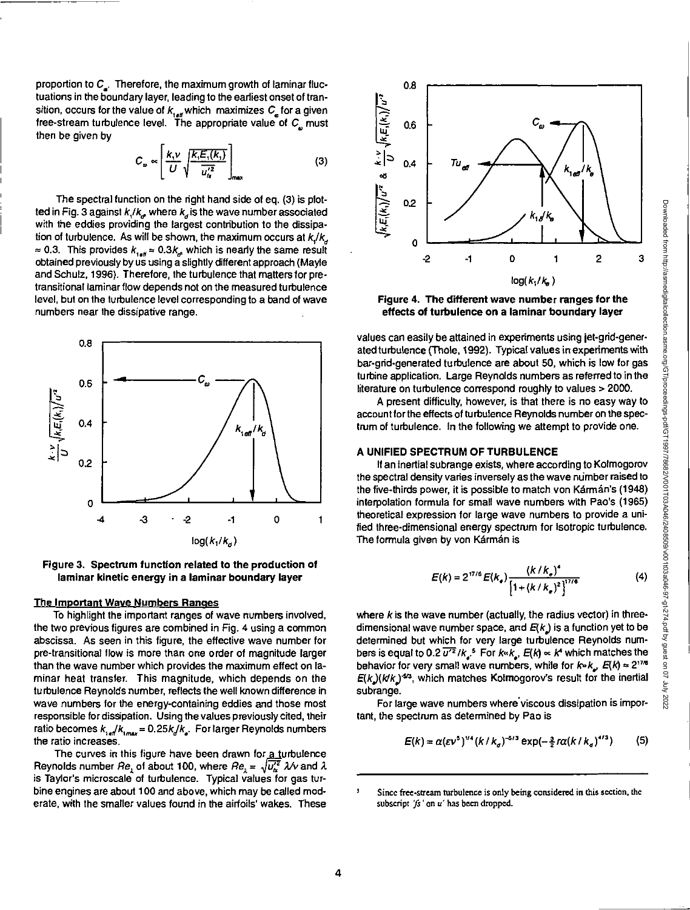Downloaded from http://asmedigitalcollection.asme.org/GT/proceedings-pdf/GT1997/78682/V001T03A046/2408509/v001t03a046-97-gt-274.pdf by guest on 07 July 2022

Downloaded from http://asmedigitalcollection.asme.org/GT/proceedings-pdf/GT198778081700117980017094037-97-pdf by guest on 07 July 2022

proportion to  $C_{\underline{a}}$ . Therefore, the maximum growth of laminar fluctuations in the boundary layer, leading to the earliest onset of transition, occurs for the value of  $k_{i_{\text{diff}}}$  which maximizes  $C_{\mu}$  for a given free-stream turbulence level. The appropriate value of C<sub>a</sub> must then be given by

$$
C_{\omega} \propto \left[ \frac{k_{\text{t}} \nu}{U} \sqrt{\frac{k_{\text{t}} E_{\text{t}}(k_{\text{t}})}{u_{\text{t}}^{\prime 2}}} \right]_{\text{max}} \tag{3}
$$

The spectral function on the right hand side of eq. (3) is plotted in Fig. 3 against  $k_i / k_{\sigma}$  where  $k_{\sigma}$  is the wave number associated with the eddies providing the largest contribution to the dissipation of turbulence. As will be shown, the maximum occurs at  $k_i/k_a$  $\approx$  0.3. This provides  $k_{1e\mu} \approx 0.3k_e$ , which is nearly the same result obtained previously by us using a slightly different approach (Mayle and Schulz, 1996). Therefore, the turbulence that matters for pretransitional laminar flow depends not on the measured turbulence level, but on the turbulence level corresponding to a band of wave numbers near the dissipative range.



**Figure 3. Spectrum function related to the production of laminar kinetic energy in a laminar boundary layer** 

### **The Important Wave Numbers Ranges**

To highlight the important ranges of wave numbers involved, the two previous figures are combined in Fig. 4 using a common abscissa. As seen in this figure, the effective wave number for pre-transitional flow is more than one order of magnitude larger than the wave number which provides the maximum effect on laminar heat transfer. This magnitude, which depends on the turbulence Reynolds number, reflects the well known difference in wave numbers for the energy-containing eddies and those most responsible for dissipation. Using the values previously cited, their ratio becomes  $k_{\text{ref}}/k_{\text{max}} = 0.25k/k_{\text{s}}$ . For larger Reynolds numbers the ratio increases.

The curves in this figure have been drawn for a turbulence Reynolds number Re, of about 100, where  $Re_1 = \sqrt{u_1^2}$   $\lambda/\nu$  and  $\lambda$ is Taylor's microscale of turbulence. Typical values for gas turbine engines are about 100 and above, which may be called moderate, with the smaller values found in the airfoils' wakes. These



**Figure 4. The different wave number ranges for the effects of turbulence on a laminar boundary layer** 

values can easily be attained in experiments using jet-grid-generated turbulence (Thole, 1992). Typical values in experiments with bar-grid-generated turbulence are about 50, which is low for gas turbine application. Large Reynolds numbers as referred to in the literature on turbulence correspond roughly to values > 2000.

A present difficulty, however, is that there is no easy way to account for the effects of turbulence Reynolds number on the spectrum of turbulence. In the following we attempt to provide one.

#### **A UNIFIED SPECTRUM OF TURBULENCE**

If an inertial subrange exists, where according to Kolmogorov the spectral density varies inversely as the wave number raised to the five-thirds power, it is possible to match von Kármán's (1948) interpolation formula for small wave numbers with Pao's (1965) theoretical expression for large wave numbers to provide a unified three-dimensional energy spectrum for isotropic turbulence. The formula given by von Kármán is

$$
E(k) = 2^{17/6} E(k_e) \frac{(k/k_e)^4}{[1 + (k/k_e)^2]^{17/6}}
$$
 (4)

where  $k$  is the wave number (actually, the radius vector) in threedimensional wave number space, and  $E(k)$  is a function yet to be determined but which for very large turbulence Reynolds numbers is equal to 0.2  $\overline{u'^2}/k_s$ <sup>5</sup> For  $k/k_s$ ,  $E(k) \propto k^4$  which matches the behavior for very small wave numbers, while for  $k \cdot k$ ,  $E(k) \approx 2^{176}$  $E(k)(kk)$ <sup>-s3</sup>, which matches Kolmogorov's result for the inertial subrange.

For large wave numbers where viscous dissipation is important, the spectrum as determined by Pao is

$$
E(k) = \alpha (\varepsilon v^5)^{1/4} (k / k_d)^{-5/3} \exp(-\frac{3}{2} r \alpha (k / k_d)^{4/3})
$$
 (5)

<sup>&</sup>lt;sup>5</sup> Since free-stream turbulence is only being considered in this section, the subscript  $fs'$  on  $u'$  has been dropped.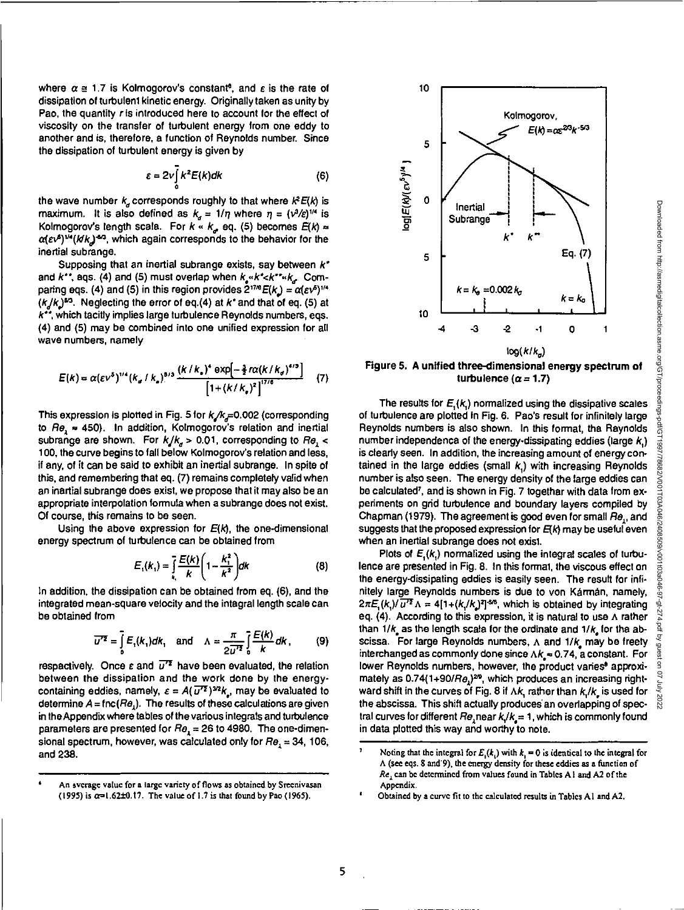where  $\alpha \equiv 1.7$  is Kolmogorov's constant<sup>o</sup>, and  $\varepsilon$  is the rate of dissipation of turbulent kinetic energy. Originally taken as unity by Pao, the quantity r is introduced here to account for the effect of viscosity on the transfer of turbulent energy from one eddy to another and is, therefore, a function of Reynolds number. Since the dissipation of turbulent energy is given by

$$
\varepsilon = 2v \int_{0}^{1} k^{2} E(k) dk
$$
 (6)

the wave number  $k_d$  corresponds roughly to that where  $k^2E(k)$  is maximum. It is also defined as  $k_a = 1/\eta$  where  $\eta = (v^3/\varepsilon)^{1/4}$  is Kolmogorov's length scala. For  $k \ll k_e$  eq. (5) becomes  $E(k) \approx$  $\alpha(\varepsilon\nu^{\beta})^{1/4}(Mk)^{-6/3}$ , which again corresponds to the behavior for the inertial subrange.

Supposing that an inertial subrange exists, say between  $k^*$ and  $k^*$ , aqs. (4) and (5) must overlap when  $k_{\mu} \ll k^* \ll k^* \ll k_{\mu}$ . Comparing eqs. (4) and (5) in this region provides  $2^{17/6}E(k) = \alpha(\varepsilon\sqrt{2})^{1/4}$  $(k/k)^{5/3}$ . Neglecting the error of eq.(4) at k<sup>\*</sup> and that of eq. (5) at  $k^*$ , which tacitly implies large turbulence Reynolds numbers, eqs. (4) and (5) may be combined into one unified expression for all wave numbers, namely

$$
E(k) = \alpha (\varepsilon v^5)^{1/4} (k_a / k_a)^{8/3} \frac{(k / k_a)^4 \exp[-\frac{3}{2} \pi \alpha (k / k_a)^{4/3}]}{[1 + (k / k_a)^2]^{1/16}} \tag{7}
$$

This expression is plotted in Fig. 5 for  $k/k<sub>F</sub>=0.002$  (corresponding to  $Re$ ,  $\approx$  450). In addition, Kolmogorov's relation and inertial subrange are shown. For  $k/k_a > 0.01$ , corresponding to Re, < 100, the curve begins to fall below Kolmogorov's relation and less, if any, of it can be said to exhibit an inertial subrange. In spite of this, and remembering that eq. (7) remains completely valid when an inertial subrange does exist, we propose that it may also be an appropriate interpolation formula when a subrange does not exist. Of course, this remains to be seen.

Using the above expression for  $E(k)$ , the one-dimensional energy spectrum of turbulence can be obtained from

$$
E_{1}(k_{1}) = \int_{k_{1}}^{\infty} \frac{E(k)}{k} \left(1 - \frac{k_{1}^{2}}{k^{2}}\right) dk
$$
 (8)

In addition, the dissipation can be obtained from eq. (6), and the integrated mean-square velocity and the integral length scale can be obtained from

$$
\overline{u^{\prime\prime}} = \int_{0}^{\infty} E_{1}(k_{1})dk_{1} \text{ and } \Lambda = \frac{\pi}{2\overline{u^{\prime\prime}}^{2}} \int_{0}^{\infty} \frac{E(k)}{k}dk, \qquad (9)
$$

respectively. Once  $\varepsilon$  and  $\overline{u'^2}$  have been evaluated, the relation between the dissipation and the work done by the energycontaining eddies, namely,  $\varepsilon = A(\overline{u^{\prime2}})^{3/2}k$ , may be evaluated to determine  $A = \text{fnc}(Re<sub>1</sub>)$ . The results of these calculations are given in the Appendix where tables of the various integrals and turbulence parameters are presented for  $Re<sub>1</sub> = 26$  to 4980. The one-dimensional spectrum, however, was calculated only for  $Re<sub>1</sub> = 34$ , 106, and 238.



Kolmogorov,

 $E(k) = \alpha \varepsilon^{2/3} k^{-5/3}$ 

10

5

**Figure 5. A unified three-dimensional energy spectrum of**  turbulence  $(\alpha = 1.7)$ 

The results for  $E_{i}(k)$  normalized using the dissipative scales of turbulence are plotted in Fig. 6. Pao's result for infinitely large Reynolds numbers is also shown. In this format, the Reynolds number independenca of the energy-dissipating eddies (large  $k_i$ ) is clearly seen. In addition, the increasing amount of energy contained in the large eddies (small  $k<sub>i</sub>$ ) with increasing Reynolds number is also seen. The energy density of the large eddies can be calculated<sup>7</sup>, and is shown in Fig. 7 togethar with data from experiments on grid turbulence and boundary layers compiled by Chapman (1979). The agreement is good even for small Re,, and suggests that the proposed expression for  $E(k)$  may be useful even when an inertial subrange does not exist.

Plots of  $E(x)$ , normalized using the integral scales of turbulence are presented in Fig. 8. In this format, the viscous effect on the energy-dissipating eddies is easily seen. The result for infinitely large Reynolds numbers is due to von Kármán, namely,  $2\pi E_{n}(k)/\overline{u'^{2}}\Lambda = 4[1+(k/k)]^{2}]^{5/6}$ , which is obtained by integrating eq. (4). According to this expression, it is natural to use A rather than  $1/k$  as the length scala for the ordinate and  $1/k$  for tha abscissa. For large Reynolds numbers,  $\Lambda$  and  $1/k$  may be freety interchanged as commonly done since  $\Lambda k_{\rm c}$  = 0.74, a constant. For lower Reynolds numbers, however, the product varies' approximately as  $0.74(1+90/R<sub>2</sub>)<sup>20</sup>$ , which produces an increasing rightward shift in the curves of Fig. 8 if  $\Delta k$ , rather than  $k/k$  is used for the abscissa. This shift actually produces' an overlapping of spectral curves for different  $Re$ , near  $k/k = 1$ , which is commonly found in data plotted this way and worthy to note.

An sverage value for a large variety of flows as obtained by Sreenivasan (1995) is  $\alpha=1.62\pm0.17$ . The value of 1.7 is that found by Pao (1965).

Noting that the integral for  $E_n(k)$  with  $k = 0$  is identical to the integral for A (see eqs. 8 and'9), the energy density for these eddies as a function of Re, can be determined from values found in Tables Al and A2 of the Appendix.

<sup>&#</sup>x27; Obtained by a curve fit to the calculated results in Tables Al and A2.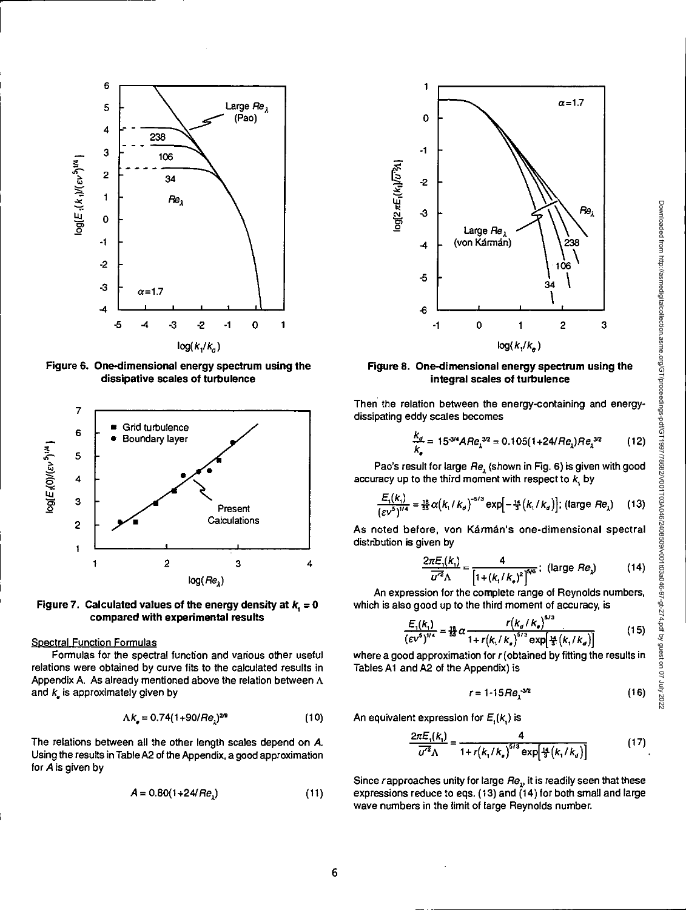

**Figure 6. One-dimensional energy spectrum using the dissipative scales of turbulence** 



Figure 7. Calculated values of the energy density at  $k<sub>i</sub> = 0$ **compared with experimental results** 

Spectral Function Formulas<br>Formulas for the spectral function and various other useful relations were obtained by curve fits to the calculated results in Tables Al and A2 of the Appendix) is Appendix A. As already mentioned above the relation between A and  $k$  is approximately given by

$$
\Lambda k_{\bullet} = 0.74(1+90/Re_{1})^{29} \tag{10}
$$

The relations between all the other length scales depend on A. Using the results in Table A2 of the Appendix, a good approximation for A is given by

$$
A = 0.80(1 + 24/Re1)
$$
 (11)



## **Figure 8. One-dimensional energy spectrum using the integral scales of turbulence**

Then the relation between the energy-containing and energydissipating eddy scales becomes

$$
\frac{k_d}{k_e} = 15^{3/4} A R e_{\lambda}^{3/2} = 0.105(1+24/R e_{\lambda}) R e_{\lambda}^{3/2}
$$
 (12)

Pao's result for large  $Re<sub>2</sub>$  (shown in Fig. 6) is given with good accuracy up to the third moment with respect to  $k$ , by

$$
\frac{E_1(k_1)}{(ev^5)^{1/4}} = \frac{18}{33} \alpha (k_1 / k_2)^{-5/3} \exp[-\frac{14}{3} (k_1 / k_2)]; \text{ (large } Re_\lambda\text{)}
$$
 (13)

As noted before, von Kármán's one-dimensional spectral distribution is given by

$$
\frac{2\pi E_1(k_1)}{\overline{u'^2}\Lambda} = \frac{4}{\left[1 + (k_1/k_*)^2\right]^{5/6}}; \text{ (large } Re_\lambda \text{)}
$$
 (14)

An expression for the complete range of Reynolds numbers, which is also good up to the third moment of accuracy, is

$$
\frac{E_1(k_1)}{(\varepsilon v^5)^{1/4}} = \frac{18}{55} \alpha \frac{r(k_d / k_e)^{5/3}}{1 + r(k_1 / k_e)^{5/3} \exp\left[\frac{18}{5}(k_1 / k_g)\right]}
$$
(15)

where a good approximation for  $r$  (obtained by fitting the results in

$$
r = 1.15 Re1-3/2
$$
 (16)

An equivalent expression for  $E_{1}(k_{n})$  is

$$
\frac{2\pi E_1(k_1)}{\overline{u'^2}\Lambda} = \frac{4}{1 + r\left(k_1/k_s\right)^{5/3} \exp\left[\frac{14}{3}\left(k_1/k_g\right)\right]}
$$
(17)

Since rapproaches unity for large  $Re<sub>1</sub>$ , it is readily seen that these expressions reduce to eqs.  $(13)$  and  $(14)$  for both small and large wave numbers in the limit of large Reynolds number.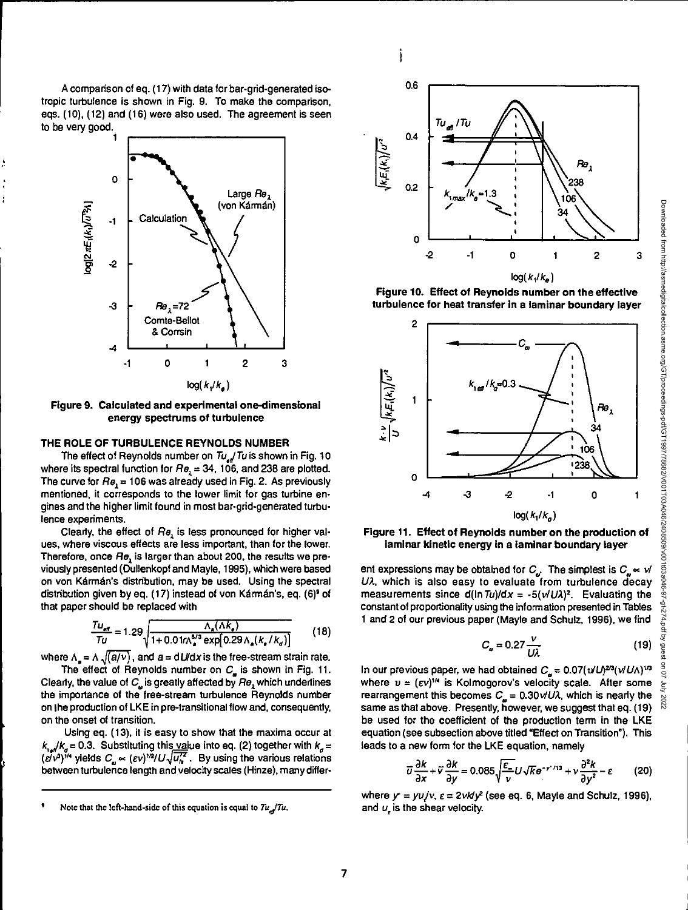A comparison of eq. (17) with data for bar-grid-generated isotropic turbulence is shown in Fig. 9. To make the comparison, eqs. (10), (12) and (16) were also used. The agreement is seen to be very good.



**Figure 9. Calculated and experimental one-dimensional energy spectrums of turbulence** 

#### **THE ROLE OF TURBULENCE REYNOLDS NUMBER**

The effect of Reynolds number on  $Tu_{\alpha}/Tu$  is shown in Fig. 10 where its spectral function for  $Re<sub>1</sub> = 34$ , 106, and 238 are plotted. The curve for  $Re_1 = 106$  was already used in Fig. 2. As previously mentioned, it corresponds to the lower limit for gas turbine engines and the higher limit found in most bar-grid-generated turbulence experiments.

Clearly, the effect of  $He<sub>l</sub>$  is less pronounced for higher values, where viscous effects are less important, than for the lower. Therefore, once Re, is larger than about 200, the results we previously presented (Dullenkopf and Mayle, 1995), which were based on von Kármán's distribution, may be used. Using the spectral distribution given by eq. (17) instead of von Kármán's, eq. (6)<sup>9</sup> of that paper should be replaced with

$$
\frac{T u_{\text{eff}}}{T u} = 1.29 \sqrt{\frac{\Lambda_s (\Lambda k_s)}{1 + 0.01 \gamma \Lambda_s^{5/3} \exp[0.29 \Lambda_s (k_s / k_d)]}}
$$
(18)

where  $\Lambda_s = \Lambda \sqrt{\frac{a}{v}}$ , and  $a = dU/dx$  is the free-stream strain rate.

The effect of Reynolds number on  $C_{\mu}$  is shown in Fig. 11. Clearly, the value of  $C_a$  is greatly affected by  $\theta$ , which underlines the importance of the free-stream turbulence Reynolds number on the production of LKE in pre-transitional flow and, consequently, on the onset of transition.

Using eq. (13), it is easy to show that the maxima occur at  $k_{1}$  / $k_{g}$  = 0.3. Substituting this value into eq. (2) together with  $k_{g}$  =  $(\vec{eV})^{\gamma_4}$  yields  $C_a \propto (\vec{eV})^{\gamma_2}/U\sqrt{u'^2}$ . By using the various relations between turbulence length and velocity scales (Hinze), many differ-



ì

**Figure 10. Effect of Reynolds number on the effective turbulence for heat transfer In a laminar boundary layer** 



**Figure 11. Effect of Reynolds number on the production of laminar kinetic energy in a laminar boundary layer** 

ent expressions may be obtained for  $C_{\omega}$ . The simplest is  $C_{\omega} \propto \nu/2$  $U\lambda$ , which is also easy to evaluate from turbulence decay measurements since  $d(ln Tu)/dx = -5(v/UA)^2$ . Evaluating the constant of proportionality using the information presented in Tables 1 and 2 of our previous paper (Mayle and Schulz, 1996), we find

$$
C_{\omega} = 0.27 \frac{v}{U\lambda} \tag{19}
$$

In our previous paper, we had obtained  $C_{\alpha} = 0.07(\nu U)^{20}(\nu U/\lambda)^{1/3}$ where  $v = (\varepsilon v)^{1/4}$  is Kolmogorov's velocity scale. After some rearrangement this becomes  $C_n = 0.30$  v/U $\lambda$ , which is nearly the same as that above. Presently, however, we suggest that eq. (19) be used for the coefficient of the production term in the LKE equation (see subsection above titled "Effect on Transition"). This leads to a new form for the LKE equation, namely

$$
\overline{u}\frac{\partial k}{\partial x} + \overline{v}\frac{\partial k}{\partial y} = 0.085\sqrt{\frac{\varepsilon}{v}}U\sqrt{ke^{-\gamma'/13}} + v\frac{\partial^2 k}{\partial y^2} - \varepsilon \tag{20}
$$

where  $y' = yU/v$ ,  $\varepsilon = 2v k/v^2$  (see eq. 6, Mayle and Schulz, 1996), and  $u<sub>r</sub>$  is the shear velocity.

Note that the left-hand-side of this equation is equal to  $Tu$  Tu.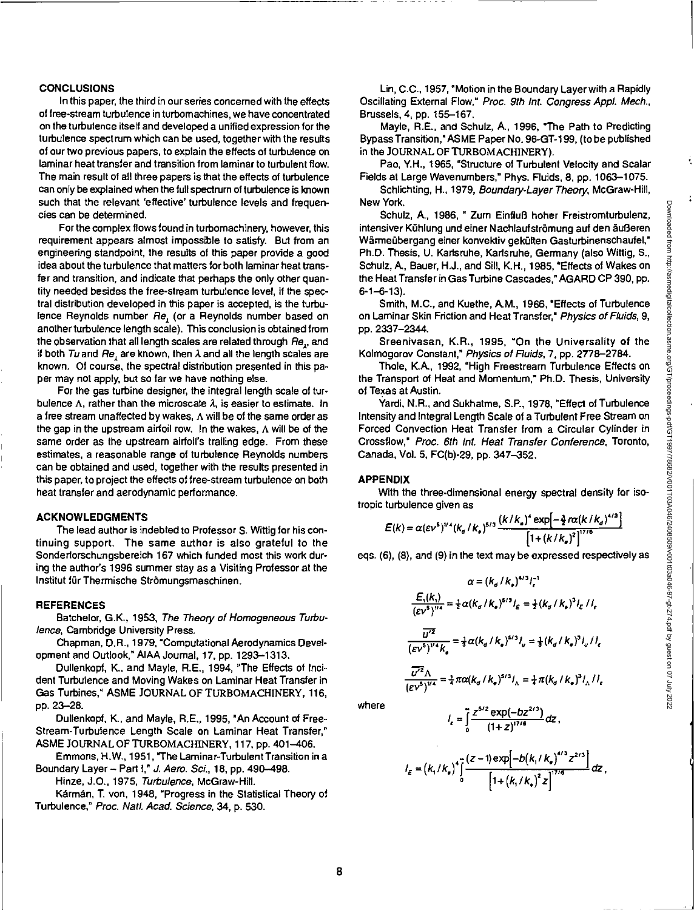#### **CONCLUSIONS**

In this paper, the third in our series concerned with the effects of free-stream turbulence in turbomachines, we have concentrated on the turbulence itself and developed a unified expression for the turbulence spectrum which can be used, together with the results of our two previous papers, to explain the effects of turbulence on laminar heat transfer and transition from laminar to turbulent flow. The main result of all three papers is that the effects of turbulence can only be explained when the full spectrum of turbulence is known such that the relevant 'effective' turbulence levels and frequencies can be determined.

For the complex flows found in turbomachinery, however, this requirement appears almost impossible to satisfy. But from an engineering standpoint, the results of this paper provide a good idea about the turbulence that matters for both laminar heat transfer and transition, and indicate that perhaps the only other quantity needed besides the free-stream turbulence level, if the spectral distribution developed in this paper is accepted, is the turbulence Reynolds number Re, (or a Reynolds number based on another turbulence length scale). This conclusion is obtained from the observation that all length scales are related through Re., and if both Tu and Re, are known, then  $\lambda$  and all the length scales are known. Of course, the spectral distribution presented in this paper may not apply, but so far we have nothing else.

For the gas turbine designer, the integral length scale of turbulence  $\Lambda$ , rather than the microscate  $\lambda$ , is easier to estimate. In a free stream unaffected by wakes, A will be of the same order as the gap in the upstream airfoil row. In the wakes, A will be of the same order as the upstream airfoil's trailing edge. From these estimates, a reasonable range of turbulence Reynolds numbers can be obtained and used, together with the results presented in this paper, to project the effects of free-stream turbulence on both heat transfer and aerodynamic performance.

### **ACKNOWLEDGMENTS**

The lead author is indebted to Professor S. Wittig for his continuing support. The same author is also grateful to the Sonderforschungsbereich 167 which funded most this work during the author's 1996 summer stay as a Visiting Professor at the Institut für Thermische Strömungsmaschinen.

#### **REFERENCES**

Batchelor, G.K., 1953, The Theory of Homogeneous Turbulence, Cambridge University Press.

Chapman, D.R., 1979, 'Computational Aerodynamics Development and Outlook," AIAA Journal, 17, pp. 1293-1313.

Dullenkopf, K., and Mayle, R.E., 1994, "The Effects of Incident Turbulence and Moving Wakes on Laminar Heat Transfer in Gas Turbines," ASME JOURNAL OF TURBOMACHINERY, 116, pp. 23-28.

Dullenkopf, K., and Mayle, R.E., 1995, "An Account of Free-Stream-Turbulence Length Scale on Laminar Heat Transfer," ASME JOURNAL OF TURBOMACHINERY, 117, pp. 401-406.

Emmons, H.W., 1951, 'The Laminar-Turbulent Transition in a Boundary Layer - Part I," J. Aero. Sci., 18, pp. 490-498.

Hinze, 10., 1975, Turbulence, McGraw-Hill.

Kármán, T. von, 1948, "Progress in the Statistical Theory of Turbulence," Proc. Natl. Acad. Science, 34, p. 530.

Lin, C.C., 1957, "Motion in the Boundary Layer with a Rapidly Oscillating External Flow," Proc. 9th Int, Congress Appl. Mech., Brussels, 4, pp. 155-167.

Mayle, R.E., and Schulz, A., 1996, "The Path to Predicting Bypass Transition," ASME Paper No. 96-GT-199, (to be published in the JOURNAL OF TURBOMACHINERY).

Pao, Y.H., 1965, "Structure of Turbulent Velocity and Scalar Fields at Large Wavenumbers," Phys. Fluids, 8, pp. 1063-1075.

Schlichting, H., 1979, Boundary-Layer Theory, McGraw-Hill, New York.

Schulz, A., 1986, " Zum EinfluB hoher Freistromturbulenz, intensiver Kühlung und einer Nachlaufströmung auf den äußeren Wärmeübergang einer konvektiv gekülten Gasturbinenschaufel," Ph.D. Thesis, U. Karlsruhe, Karlsruhe, Germany (also Wittig, S., Schulz, A., Bauer, H.J., and Sill, K.H., 1985, "Effects of Wakes on the Heat Transfer in Gas Turbine Cascades," AGARD CP 390, pp.  $6 - 1 - 6 - 13$ .

Smith, M.C., and Kuethe, AM., 1966, 'Effects of Turbulence on Laminar Skin Friction and Heat Transfer," Physics of Fluids, 9, pp. 2337-2344.

Sreenivasan, K.R., 1995, "On the Universality of the Kolmogorov Constant," Physics of Fluids, 7, pp. 2778-2784.

Thole, K.A., 1992, "High Freestream Turbulence Effects on the Transport of Heat and Momentum," Ph.D. Thesis, University of Texas at Austin.

Yardi, N.R., and Sukhatme, S.P., 1978, "Effect of Turbulence Intensity and Integral Length Scale of a Turbulent Free Stream on Forced Convection Heat Transfer from a Circular Cylinder in Crossflow," Proc. 6th Int. Heat Transfer Conference, Toronto, Canada, Vol. 5, FC(b)-29, pp. 347-352.

### **APPENDIX**

With the three-dimensional energy spectral density for isotropic turbulence given as

$$
E(k) = \alpha (\varepsilon v^5)^{1/4} (k_{\sigma}/k_{\bullet})^{5/3} \frac{(k/k_{\bullet})^4 \exp[-\frac{3}{2}r\alpha (k/k_{\sigma})^{4/3}]}{[1 + (k/k_{\bullet})^2]^{17/6}}
$$

eqs. (6), (8), and (9) in the text may be expressed respectively as

$$
\alpha = (k_a / k_e)^{4/3} l_e^{-1}
$$
  

$$
\frac{E_1(k_1)}{(ev^5)^{1/4}} = \frac{1}{2} \alpha (k_a / k_e)^{5/3} l_e = \frac{1}{2} (k_a / k_e)^3 l_e / l_e
$$
  

$$
\frac{u'^2}{(ev^5)^{1/4} k_e} = \frac{1}{3} \alpha (k_a / k_e)^{5/3} l_v = \frac{1}{3} (k_a / k_e)^3 l_v / l_e
$$
  

$$
\frac{u'^2 \Lambda}{(ev^5)^{1/4}} = \frac{1}{4} \pi \alpha (k_a / k_e)^{5/3} l_A = \frac{1}{4} \pi (k_a / k_e)^3 l_A / l_e
$$

where

$$
I_{\epsilon} = \int_{0}^{\infty} \frac{(1+z)^{17/6}}{(1+z)^{17/6}} dz,
$$
  

$$
I_{\epsilon} = (k_{1}/k_{e})^{4} \int_{0}^{\infty} \frac{(z-1) \exp[-b(k_{1}/k_{e})^{4/3} z^{2/3}]}{\left[1 + (k_{1}/k_{e})^{2} z\right]^{17/6}} dz,
$$

 $z^{5/2}$  exp(-bz<sup>2/3</sup>) <sub>dz</sub>

 $I_r = \vec{l}^{\frac{3}{2}}$